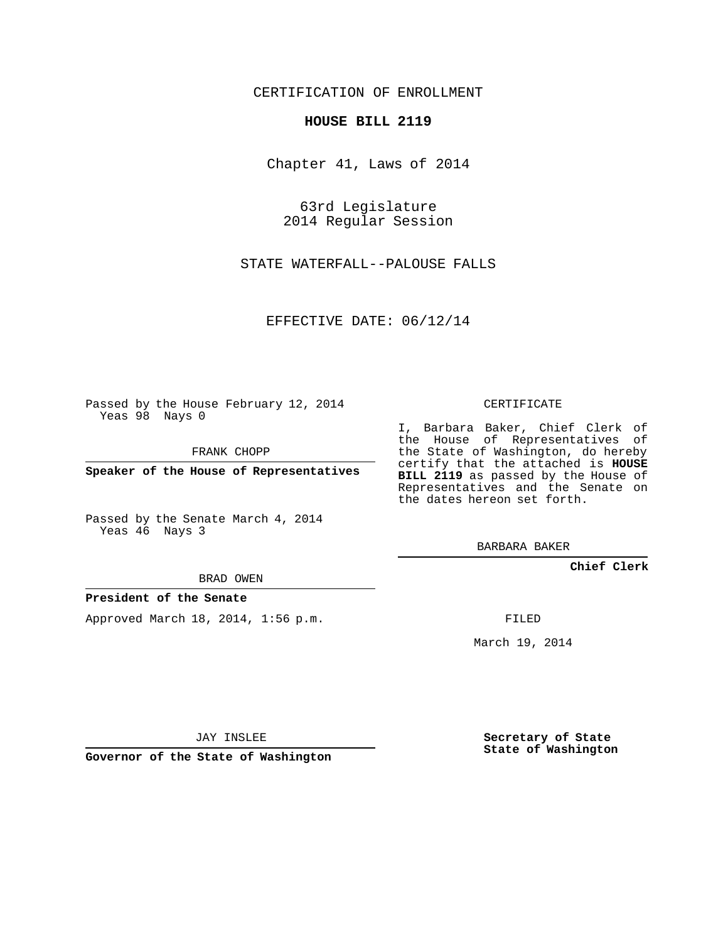CERTIFICATION OF ENROLLMENT

## **HOUSE BILL 2119**

Chapter 41, Laws of 2014

63rd Legislature 2014 Regular Session

STATE WATERFALL--PALOUSE FALLS

EFFECTIVE DATE: 06/12/14

Passed by the House February 12, 2014 Yeas 98 Nays 0

FRANK CHOPP

**Speaker of the House of Representatives**

Passed by the Senate March 4, 2014 Yeas 46 Nays 3

BRAD OWEN

## **President of the Senate**

Approved March 18, 2014, 1:56 p.m.

CERTIFICATE

I, Barbara Baker, Chief Clerk of the House of Representatives of the State of Washington, do hereby certify that the attached is **HOUSE BILL 2119** as passed by the House of Representatives and the Senate on the dates hereon set forth.

BARBARA BAKER

**Chief Clerk**

FILED

March 19, 2014

JAY INSLEE

**Governor of the State of Washington**

**Secretary of State State of Washington**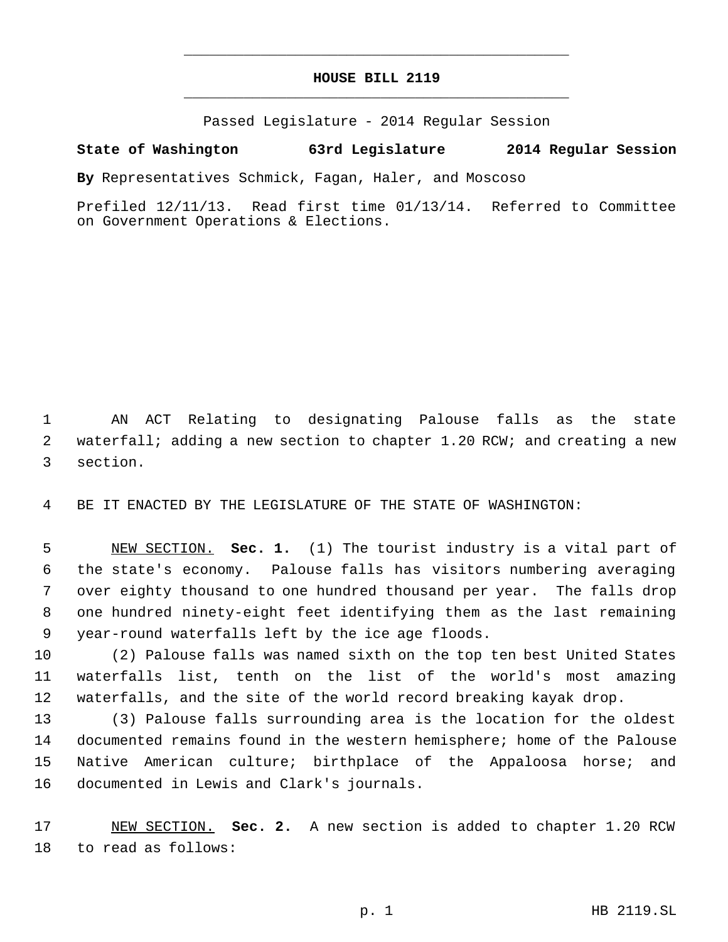## **HOUSE BILL 2119** \_\_\_\_\_\_\_\_\_\_\_\_\_\_\_\_\_\_\_\_\_\_\_\_\_\_\_\_\_\_\_\_\_\_\_\_\_\_\_\_\_\_\_\_\_

\_\_\_\_\_\_\_\_\_\_\_\_\_\_\_\_\_\_\_\_\_\_\_\_\_\_\_\_\_\_\_\_\_\_\_\_\_\_\_\_\_\_\_\_\_

Passed Legislature - 2014 Regular Session

## **State of Washington 63rd Legislature 2014 Regular Session**

**By** Representatives Schmick, Fagan, Haler, and Moscoso

Prefiled 12/11/13. Read first time 01/13/14. Referred to Committee on Government Operations & Elections.

 AN ACT Relating to designating Palouse falls as the state waterfall; adding a new section to chapter 1.20 RCW; and creating a new section.

BE IT ENACTED BY THE LEGISLATURE OF THE STATE OF WASHINGTON:

 NEW SECTION. **Sec. 1.** (1) The tourist industry is a vital part of the state's economy. Palouse falls has visitors numbering averaging over eighty thousand to one hundred thousand per year. The falls drop one hundred ninety-eight feet identifying them as the last remaining year-round waterfalls left by the ice age floods.

 (2) Palouse falls was named sixth on the top ten best United States waterfalls list, tenth on the list of the world's most amazing waterfalls, and the site of the world record breaking kayak drop.

 (3) Palouse falls surrounding area is the location for the oldest documented remains found in the western hemisphere; home of the Palouse Native American culture; birthplace of the Appaloosa horse; and documented in Lewis and Clark's journals.

 NEW SECTION. **Sec. 2.** A new section is added to chapter 1.20 RCW to read as follows: